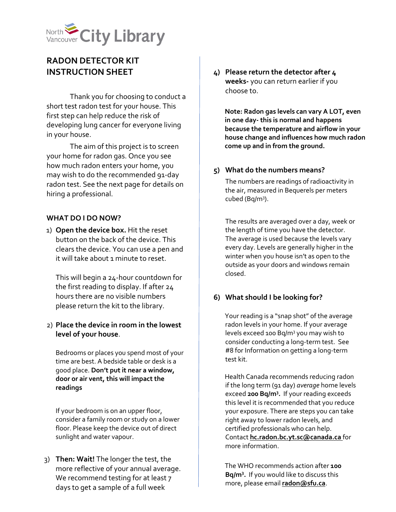

# **RADON DETECTOR KIT INSTRUCTION SHEET**

Thank you for choosing to conduct a short test radon test for your house. This first step can help reduce the risk of developing lung cancer for everyone living in your house.

The aim of this project is to screen your home for radon gas. Once you see how much radon enters your home, you may wish to do the recommended 91-day radon test. See the next page for details on hiring a professional.

### **WHAT DO I DO NOW?**

1) **Open the device box.** Hit the reset button on the back of the device. This clears the device. You can use a pen and it will take about 1 minute to reset.

This will begin a 24-hour countdown for the first reading to display. If after 24 hours there are no visible numbers please return the kit to the library.

# 2) **Place the device in room in the lowest level of your house**.

Bedrooms or places you spend most of your time are best. A bedside table or desk is a good place. **Don't put it near a window, door or air vent, this will impact the readings**

If your bedroom is on an upper floor, consider a family room or study on a lower floor. Please keep the device out of direct sunlight and water vapour.

3) **Then: Wait!** The longer the test, the more reflective of your annual average. We recommend testing for at least 7 days to get a sample of a full week

**4) Please return the detector after 4 weeks-** you can return earlier if you choose to.

**Note: Radon gas levels can vary A LOT, even in one day- this is normal and happens because the temperature and airflow in your house change and influences how much radon come up and in from the ground.** 

### **5) What do the numbers means?**

The numbers are readings of radioactivity in the air, measured in Bequerels per meters cubed (Bq/m<sup>3</sup>).

The results are averaged over a day, week or the length of time you have the detector. The average is used because the levels vary every day. Levels are generally higher in the winter when you house isn't as open to the outside as your doors and windows remain closed.

# **6) What should I be looking for?**

Your reading is a "snap shot" of the average radon levels in your home. If your average levels exceed 100 Bq/m3 you may wish to consider conducting a long-term test. See #8 for Information on getting a long-term test kit.

Health Canada recommends reducing radon if the long term (91 day) *average* home levels exceed **200 Bq/m3 .** If your reading exceeds this level it is recommended that you reduce your exposure. There are steps you can take right away to lower radon levels, and certified professionals who can help. Contact **hc.radon.bc.yt.sc@canada.ca** for more information.

The WHO recommends action after **100 Bq/m3 .** If you would like to discuss this more, please email **radon@sfu.ca**.